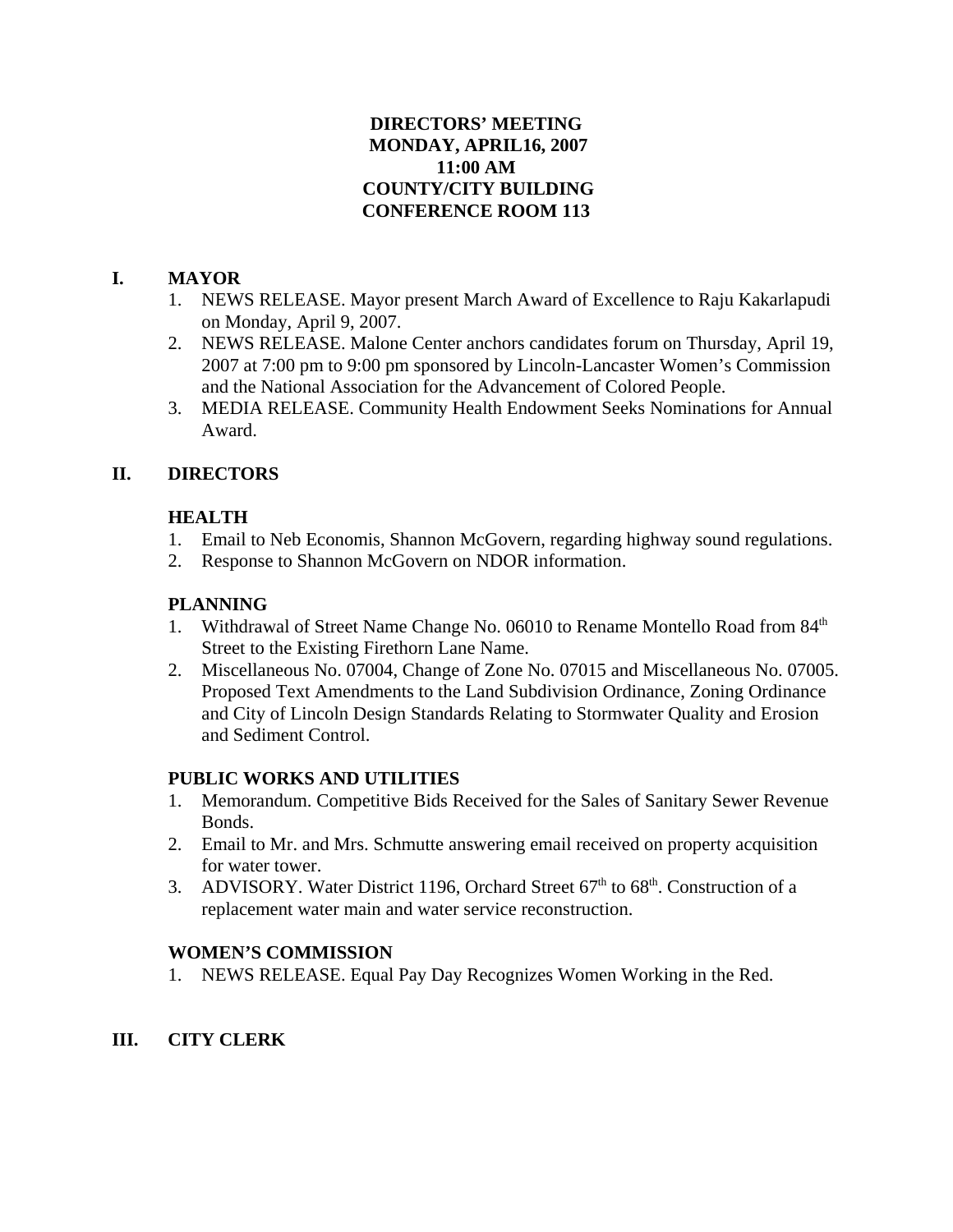## **DIRECTORS' MEETING MONDAY, APRIL16, 2007 11:00 AM COUNTY/CITY BUILDING CONFERENCE ROOM 113**

# **I. MAYOR**

- 1. NEWS RELEASE. Mayor present March Award of Excellence to Raju Kakarlapudi on Monday, April 9, 2007.
- 2. NEWS RELEASE. Malone Center anchors candidates forum on Thursday, April 19, 2007 at 7:00 pm to 9:00 pm sponsored by Lincoln-Lancaster Women's Commission and the National Association for the Advancement of Colored People.
- 3. MEDIA RELEASE. Community Health Endowment Seeks Nominations for Annual Award.

# **II. DIRECTORS**

# **HEALTH**

- 1. Email to Neb Economis, Shannon McGovern, regarding highway sound regulations.
- 2. Response to Shannon McGovern on NDOR information.

# **PLANNING**

- 1. Withdrawal of Street Name Change No. 06010 to Rename Montello Road from 84<sup>th</sup> Street to the Existing Firethorn Lane Name.
- 2. Miscellaneous No. 07004, Change of Zone No. 07015 and Miscellaneous No. 07005. Proposed Text Amendments to the Land Subdivision Ordinance, Zoning Ordinance and City of Lincoln Design Standards Relating to Stormwater Quality and Erosion and Sediment Control.

## **PUBLIC WORKS AND UTILITIES**

- 1. Memorandum. Competitive Bids Received for the Sales of Sanitary Sewer Revenue Bonds.
- 2. Email to Mr. and Mrs. Schmutte answering email received on property acquisition for water tower.
- 3. ADVISORY. Water District 1196, Orchard Street 67<sup>th</sup> to 68<sup>th</sup>. Construction of a replacement water main and water service reconstruction.

## **WOMEN'S COMMISSION**

1. NEWS RELEASE. Equal Pay Day Recognizes Women Working in the Red.

# **III. CITY CLERK**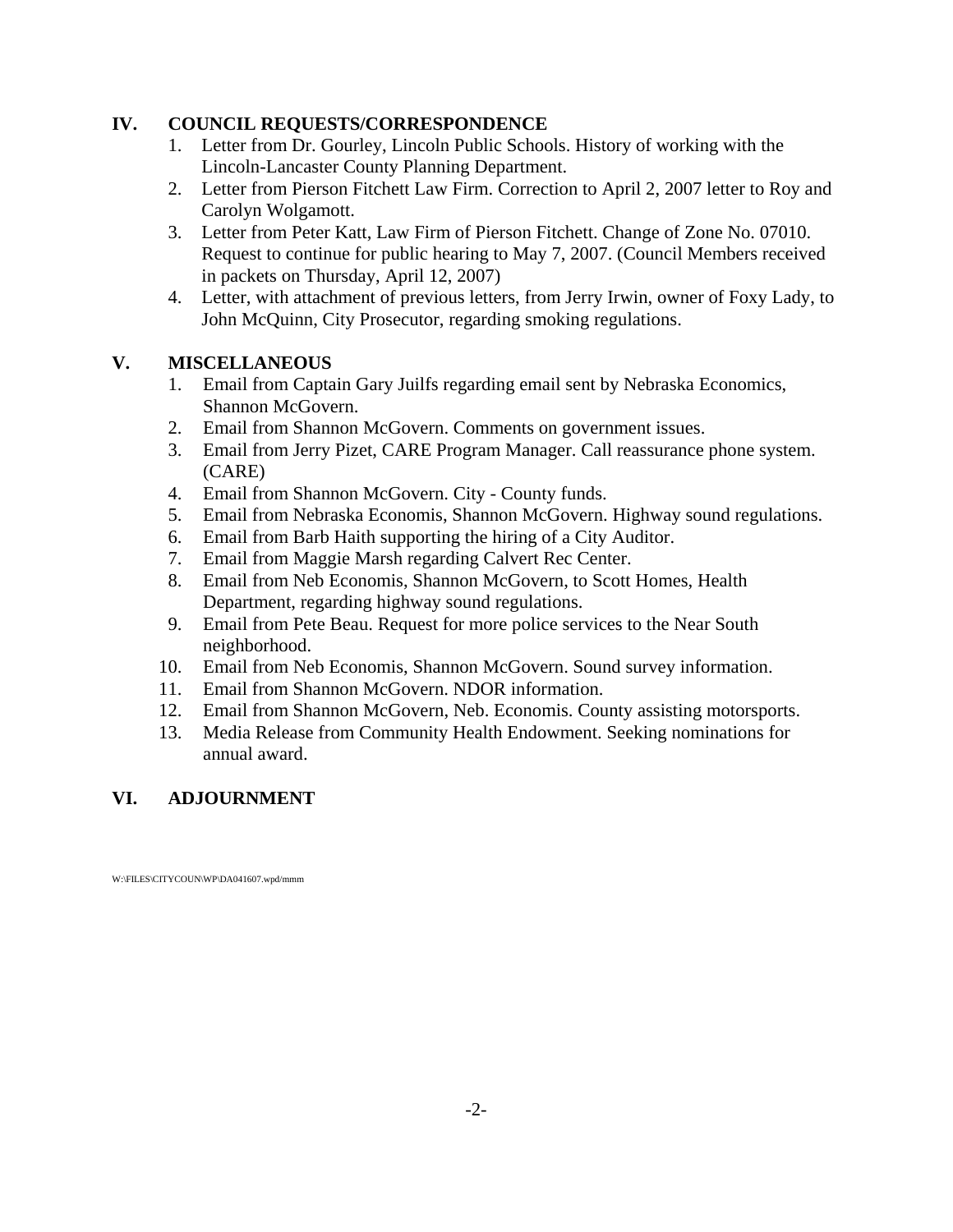## **IV. COUNCIL REQUESTS/CORRESPONDENCE**

- 1. Letter from Dr. Gourley, Lincoln Public Schools. History of working with the Lincoln-Lancaster County Planning Department.
- 2. Letter from Pierson Fitchett Law Firm. Correction to April 2, 2007 letter to Roy and Carolyn Wolgamott.
- 3. Letter from Peter Katt, Law Firm of Pierson Fitchett. Change of Zone No. 07010. Request to continue for public hearing to May 7, 2007. (Council Members received in packets on Thursday, April 12, 2007)
- 4. Letter, with attachment of previous letters, from Jerry Irwin, owner of Foxy Lady, to John McQuinn, City Prosecutor, regarding smoking regulations.

# **V. MISCELLANEOUS**

- 1. Email from Captain Gary Juilfs regarding email sent by Nebraska Economics, Shannon McGovern.
- 2. Email from Shannon McGovern. Comments on government issues.
- 3. Email from Jerry Pizet, CARE Program Manager. Call reassurance phone system. (CARE)
- 4. Email from Shannon McGovern. City County funds.
- 5. Email from Nebraska Economis, Shannon McGovern. Highway sound regulations.
- 6. Email from Barb Haith supporting the hiring of a City Auditor.
- 7. Email from Maggie Marsh regarding Calvert Rec Center.
- 8. Email from Neb Economis, Shannon McGovern, to Scott Homes, Health Department, regarding highway sound regulations.
- 9. Email from Pete Beau. Request for more police services to the Near South neighborhood.
- 10. Email from Neb Economis, Shannon McGovern. Sound survey information.
- 11. Email from Shannon McGovern. NDOR information.
- 12. Email from Shannon McGovern, Neb. Economis. County assisting motorsports.
- 13. Media Release from Community Health Endowment. Seeking nominations for annual award.

# **VI. ADJOURNMENT**

W:\FILES\CITYCOUN\WP\DA041607.wpd/mmm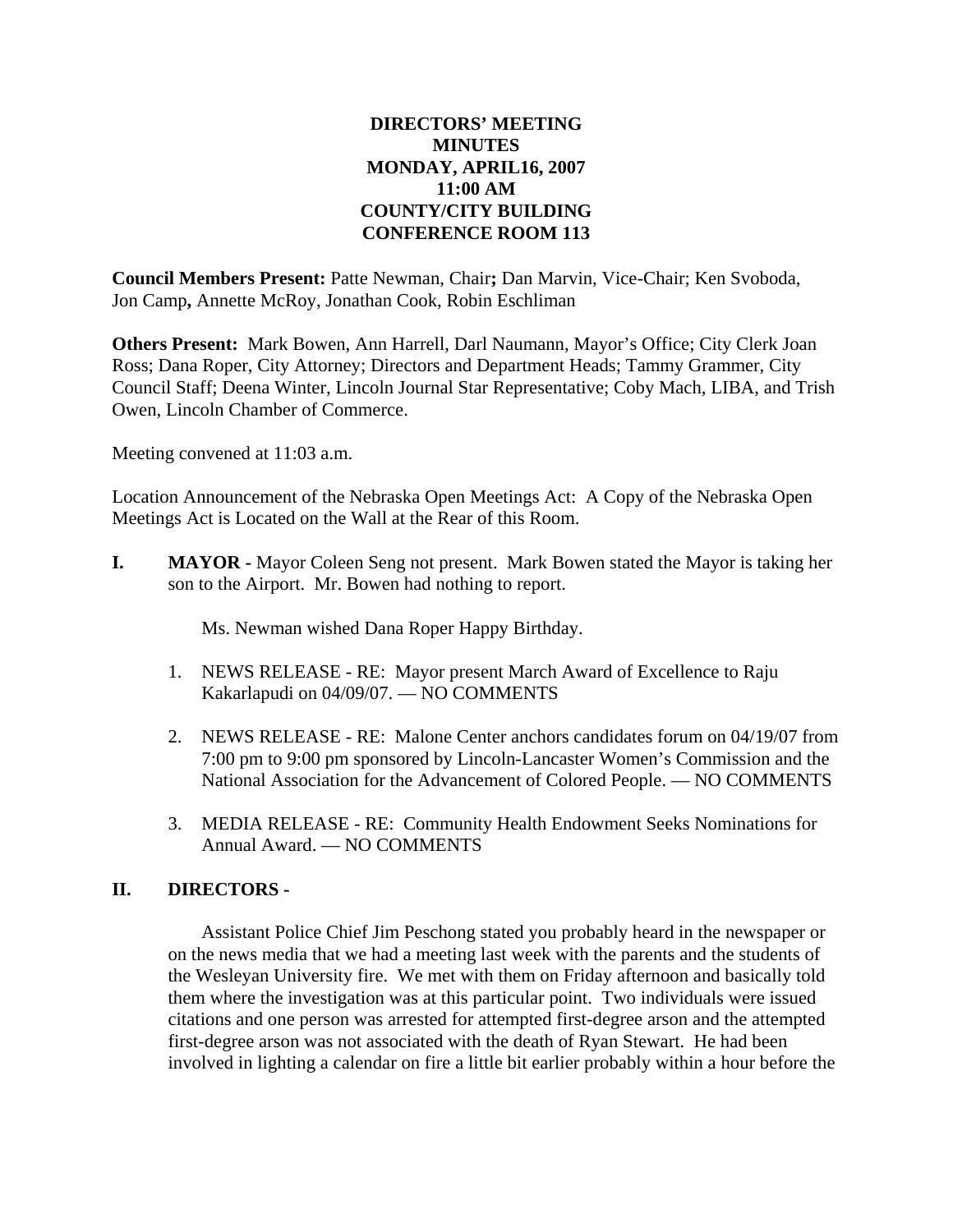## **DIRECTORS' MEETING MINUTES MONDAY, APRIL16, 2007 11:00 AM COUNTY/CITY BUILDING CONFERENCE ROOM 113**

**Council Members Present:** Patte Newman, Chair**;** Dan Marvin, Vice-Chair; Ken Svoboda, Jon Camp**,** Annette McRoy, Jonathan Cook, Robin Eschliman

**Others Present:** Mark Bowen, Ann Harrell, Darl Naumann, Mayor's Office; City Clerk Joan Ross; Dana Roper, City Attorney; Directors and Department Heads; Tammy Grammer, City Council Staff; Deena Winter, Lincoln Journal Star Representative; Coby Mach, LIBA, and Trish Owen, Lincoln Chamber of Commerce.

Meeting convened at 11:03 a.m.

Location Announcement of the Nebraska Open Meetings Act: A Copy of the Nebraska Open Meetings Act is Located on the Wall at the Rear of this Room.

**I.** MAYOR - Mayor Coleen Seng not present. Mark Bowen stated the Mayor is taking her son to the Airport. Mr. Bowen had nothing to report.

Ms. Newman wished Dana Roper Happy Birthday.

- 1. NEWS RELEASE RE: Mayor present March Award of Excellence to Raju Kakarlapudi on 04/09/07. — NO COMMENTS
- 2. NEWS RELEASE RE: Malone Center anchors candidates forum on 04/19/07 from 7:00 pm to 9:00 pm sponsored by Lincoln-Lancaster Women's Commission and the National Association for the Advancement of Colored People. — NO COMMENTS
- 3. MEDIA RELEASE RE: Community Health Endowment Seeks Nominations for Annual Award. — NO COMMENTS

### **II. DIRECTORS -**

Assistant Police Chief Jim Peschong stated you probably heard in the newspaper or on the news media that we had a meeting last week with the parents and the students of the Wesleyan University fire. We met with them on Friday afternoon and basically told them where the investigation was at this particular point. Two individuals were issued citations and one person was arrested for attempted first-degree arson and the attempted first-degree arson was not associated with the death of Ryan Stewart. He had been involved in lighting a calendar on fire a little bit earlier probably within a hour before the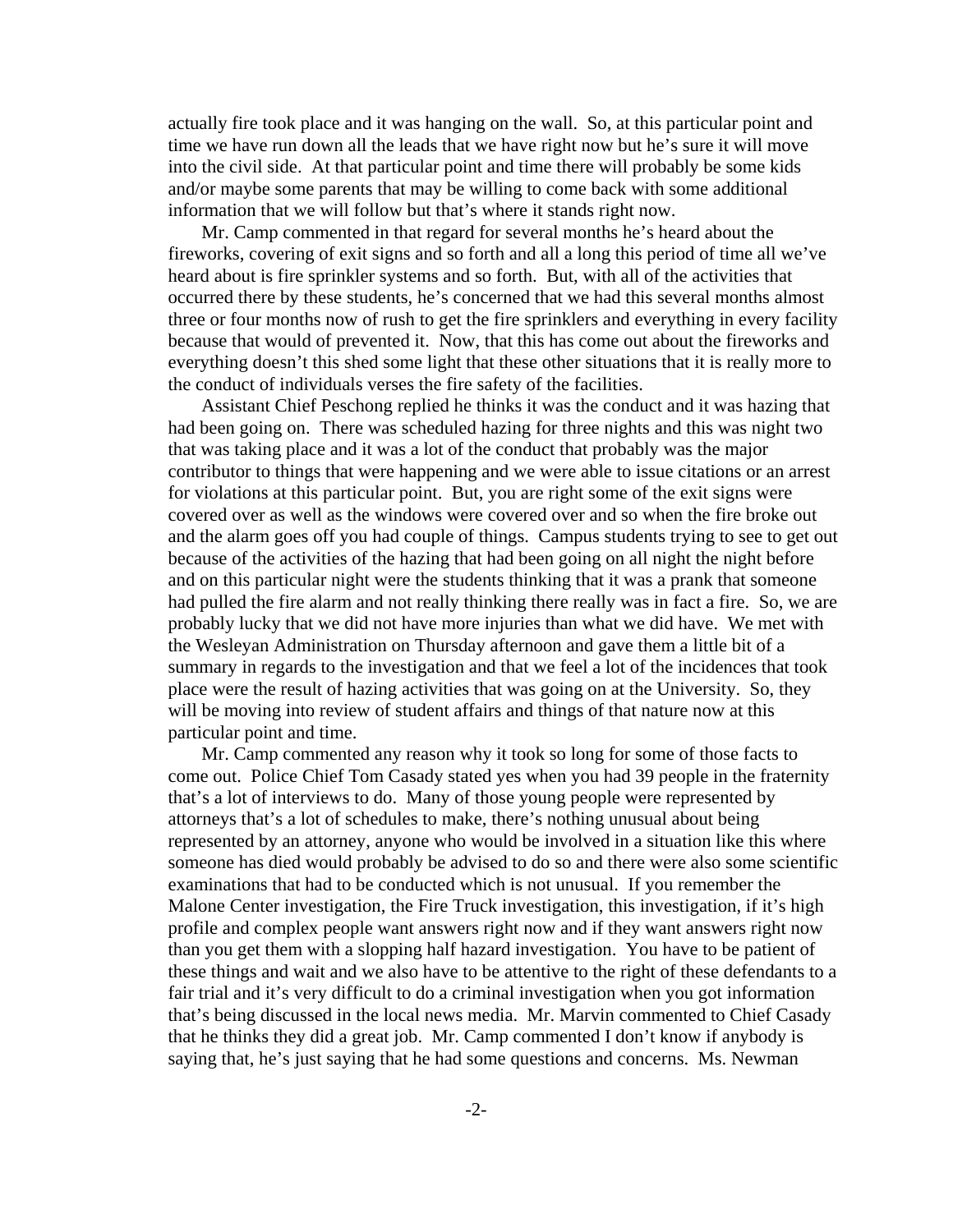actually fire took place and it was hanging on the wall. So, at this particular point and time we have run down all the leads that we have right now but he's sure it will move into the civil side. At that particular point and time there will probably be some kids and/or maybe some parents that may be willing to come back with some additional information that we will follow but that's where it stands right now.

Mr. Camp commented in that regard for several months he's heard about the fireworks, covering of exit signs and so forth and all a long this period of time all we've heard about is fire sprinkler systems and so forth. But, with all of the activities that occurred there by these students, he's concerned that we had this several months almost three or four months now of rush to get the fire sprinklers and everything in every facility because that would of prevented it. Now, that this has come out about the fireworks and everything doesn't this shed some light that these other situations that it is really more to the conduct of individuals verses the fire safety of the facilities.

Assistant Chief Peschong replied he thinks it was the conduct and it was hazing that had been going on. There was scheduled hazing for three nights and this was night two that was taking place and it was a lot of the conduct that probably was the major contributor to things that were happening and we were able to issue citations or an arrest for violations at this particular point. But, you are right some of the exit signs were covered over as well as the windows were covered over and so when the fire broke out and the alarm goes off you had couple of things. Campus students trying to see to get out because of the activities of the hazing that had been going on all night the night before and on this particular night were the students thinking that it was a prank that someone had pulled the fire alarm and not really thinking there really was in fact a fire. So, we are probably lucky that we did not have more injuries than what we did have. We met with the Wesleyan Administration on Thursday afternoon and gave them a little bit of a summary in regards to the investigation and that we feel a lot of the incidences that took place were the result of hazing activities that was going on at the University. So, they will be moving into review of student affairs and things of that nature now at this particular point and time.

Mr. Camp commented any reason why it took so long for some of those facts to come out. Police Chief Tom Casady stated yes when you had 39 people in the fraternity that's a lot of interviews to do. Many of those young people were represented by attorneys that's a lot of schedules to make, there's nothing unusual about being represented by an attorney, anyone who would be involved in a situation like this where someone has died would probably be advised to do so and there were also some scientific examinations that had to be conducted which is not unusual. If you remember the Malone Center investigation, the Fire Truck investigation, this investigation, if it's high profile and complex people want answers right now and if they want answers right now than you get them with a slopping half hazard investigation. You have to be patient of these things and wait and we also have to be attentive to the right of these defendants to a fair trial and it's very difficult to do a criminal investigation when you got information that's being discussed in the local news media. Mr. Marvin commented to Chief Casady that he thinks they did a great job. Mr. Camp commented I don't know if anybody is saying that, he's just saying that he had some questions and concerns. Ms. Newman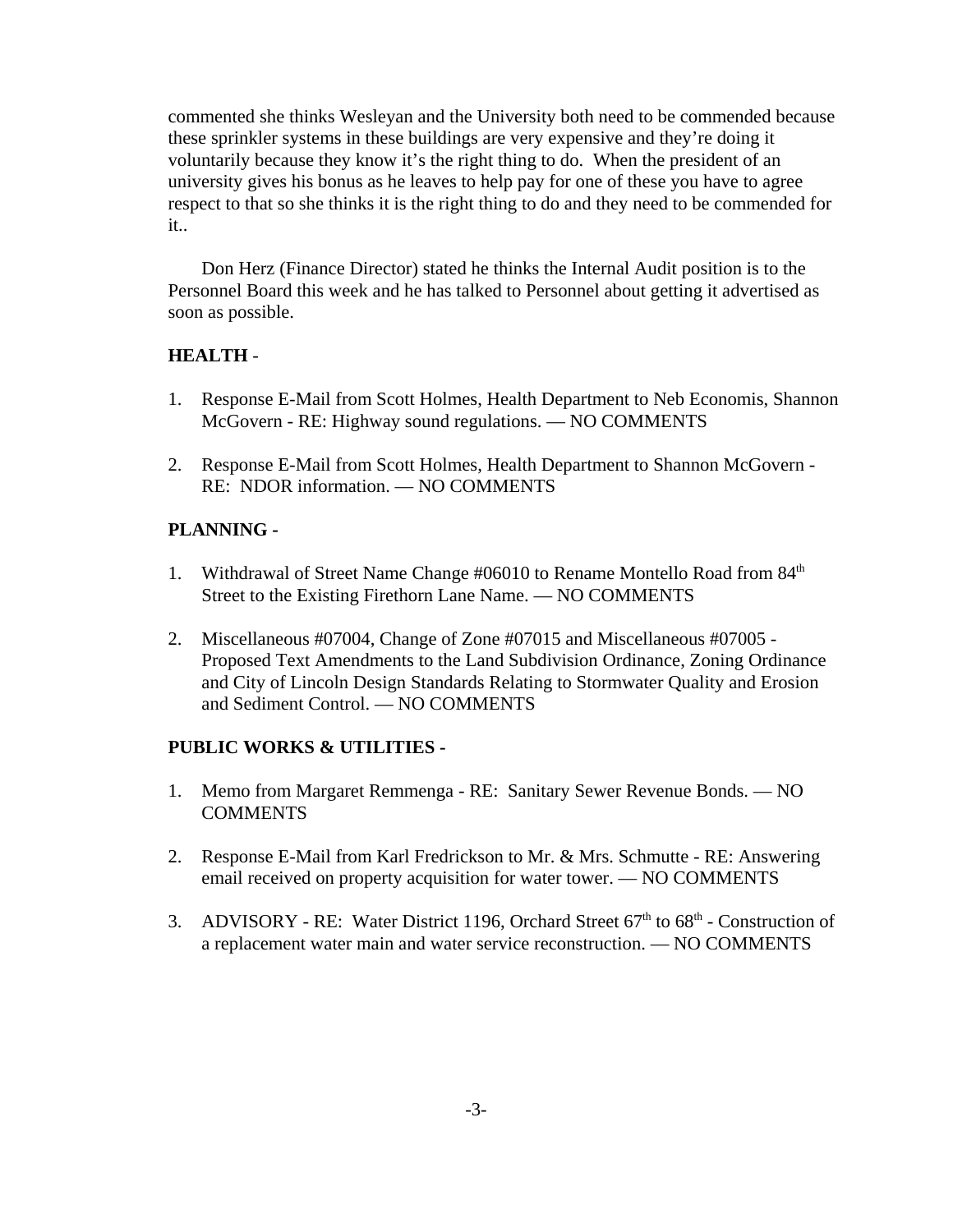commented she thinks Wesleyan and the University both need to be commended because these sprinkler systems in these buildings are very expensive and they're doing it voluntarily because they know it's the right thing to do. When the president of an university gives his bonus as he leaves to help pay for one of these you have to agree respect to that so she thinks it is the right thing to do and they need to be commended for it..

Don Herz (Finance Director) stated he thinks the Internal Audit position is to the Personnel Board this week and he has talked to Personnel about getting it advertised as soon as possible.

### **HEALTH** -

- 1. Response E-Mail from Scott Holmes, Health Department to Neb Economis, Shannon McGovern - RE: Highway sound regulations. — NO COMMENTS
- 2. Response E-Mail from Scott Holmes, Health Department to Shannon McGovern RE: NDOR information. — NO COMMENTS

### **PLANNING -**

- 1. Withdrawal of Street Name Change #06010 to Rename Montello Road from 84<sup>th</sup> Street to the Existing Firethorn Lane Name. — NO COMMENTS
- 2. Miscellaneous #07004, Change of Zone #07015 and Miscellaneous #07005 Proposed Text Amendments to the Land Subdivision Ordinance, Zoning Ordinance and City of Lincoln Design Standards Relating to Stormwater Quality and Erosion and Sediment Control. — NO COMMENTS

### **PUBLIC WORKS & UTILITIES -**

- 1. Memo from Margaret Remmenga RE: Sanitary Sewer Revenue Bonds. NO **COMMENTS**
- 2. Response E-Mail from Karl Fredrickson to Mr. & Mrs. Schmutte RE: Answering email received on property acquisition for water tower. — NO COMMENTS
- 3. ADVISORY RE: Water District 1196, Orchard Street  $67<sup>th</sup>$  to  $68<sup>th</sup>$  Construction of a replacement water main and water service reconstruction. — NO COMMENTS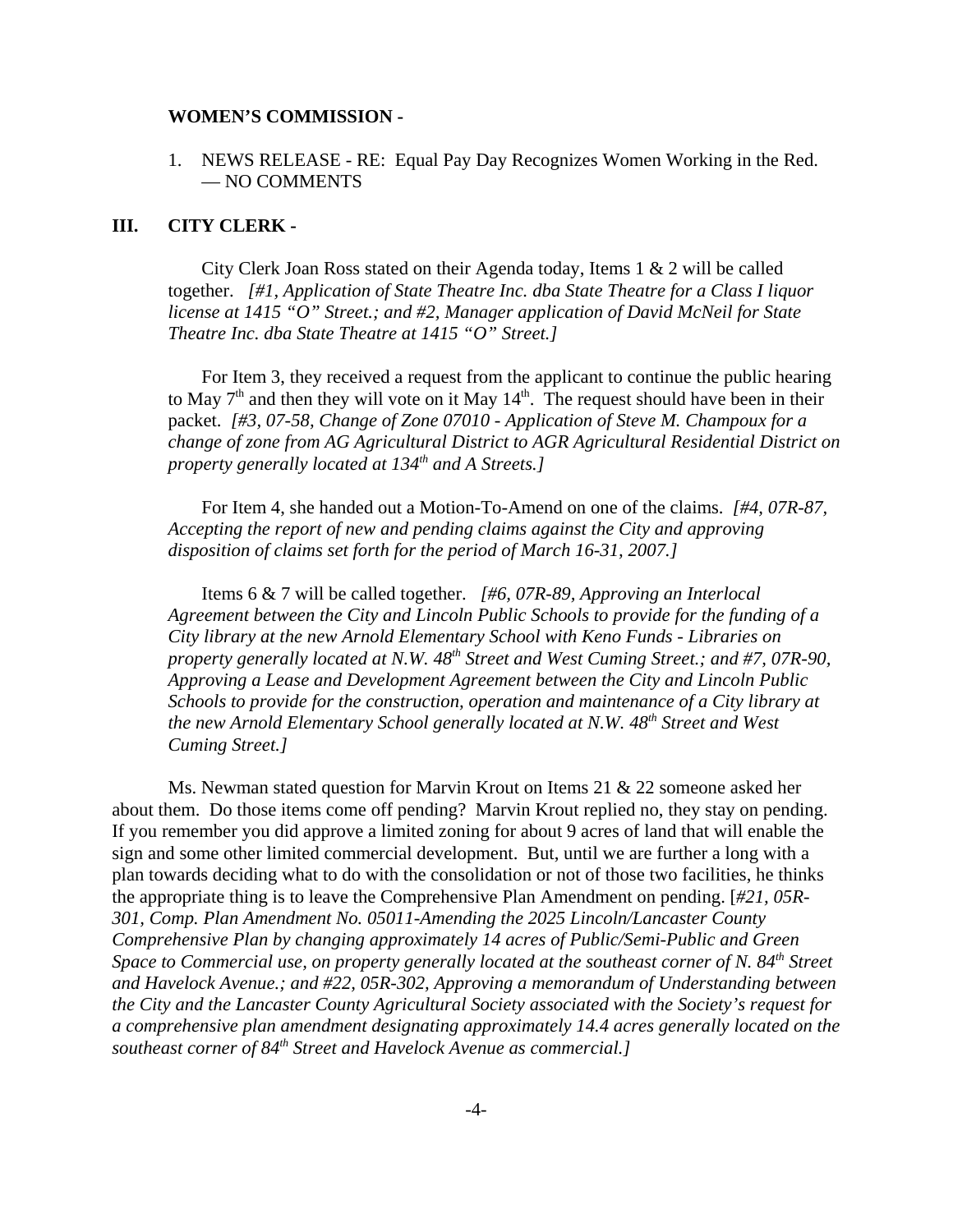#### **WOMEN'S COMMISSION -**

1. NEWS RELEASE - RE: Equal Pay Day Recognizes Women Working in the Red. — NO COMMENTS

### **III. CITY CLERK -**

City Clerk Joan Ross stated on their Agenda today, Items 1 & 2 will be called together. *[#1, Application of State Theatre Inc. dba State Theatre for a Class I liquor license at 1415 "O" Street.; and #2, Manager application of David McNeil for State Theatre Inc. dba State Theatre at 1415 "O" Street.]*

For Item 3, they received a request from the applicant to continue the public hearing to May  $7<sup>th</sup>$  and then they will vote on it May  $14<sup>th</sup>$ . The request should have been in their packet. *[#3, 07-58, Change of Zone 07010 - Application of Steve M. Champoux for a change of zone from AG Agricultural District to AGR Agricultural Residential District on property generally located at 134<sup>th</sup> and A Streets.]* 

For Item 4, she handed out a Motion-To-Amend on one of the claims. *[#4, 07R-87, Accepting the report of new and pending claims against the City and approving disposition of claims set forth for the period of March 16-31, 2007.]* 

Items 6 & 7 will be called together. *[#6, 07R-89, Approving an Interlocal Agreement between the City and Lincoln Public Schools to provide for the funding of a City library at the new Arnold Elementary School with Keno Funds - Libraries on property generally located at N.W. 48th Street and West Cuming Street.; and #7, 07R-90, Approving a Lease and Development Agreement between the City and Lincoln Public Schools to provide for the construction, operation and maintenance of a City library at* the new Arnold Elementary School generally located at N.W. 48<sup>th</sup> Street and West *Cuming Street.]* 

Ms. Newman stated question for Marvin Krout on Items 21 & 22 someone asked her about them. Do those items come off pending? Marvin Krout replied no, they stay on pending. If you remember you did approve a limited zoning for about 9 acres of land that will enable the sign and some other limited commercial development. But, until we are further a long with a plan towards deciding what to do with the consolidation or not of those two facilities, he thinks the appropriate thing is to leave the Comprehensive Plan Amendment on pending. [*#21, 05R-301, Comp. Plan Amendment No. 05011-Amending the 2025 Lincoln/Lancaster County Comprehensive Plan by changing approximately 14 acres of Public/Semi-Public and Green Space to Commercial use, on property generally located at the southeast corner of N. 84<sup>th</sup> Street and Havelock Avenue.; and #22, 05R-302, Approving a memorandum of Understanding between the City and the Lancaster County Agricultural Society associated with the Society's request for a comprehensive plan amendment designating approximately 14.4 acres generally located on the southeast corner of 84th Street and Havelock Avenue as commercial.]*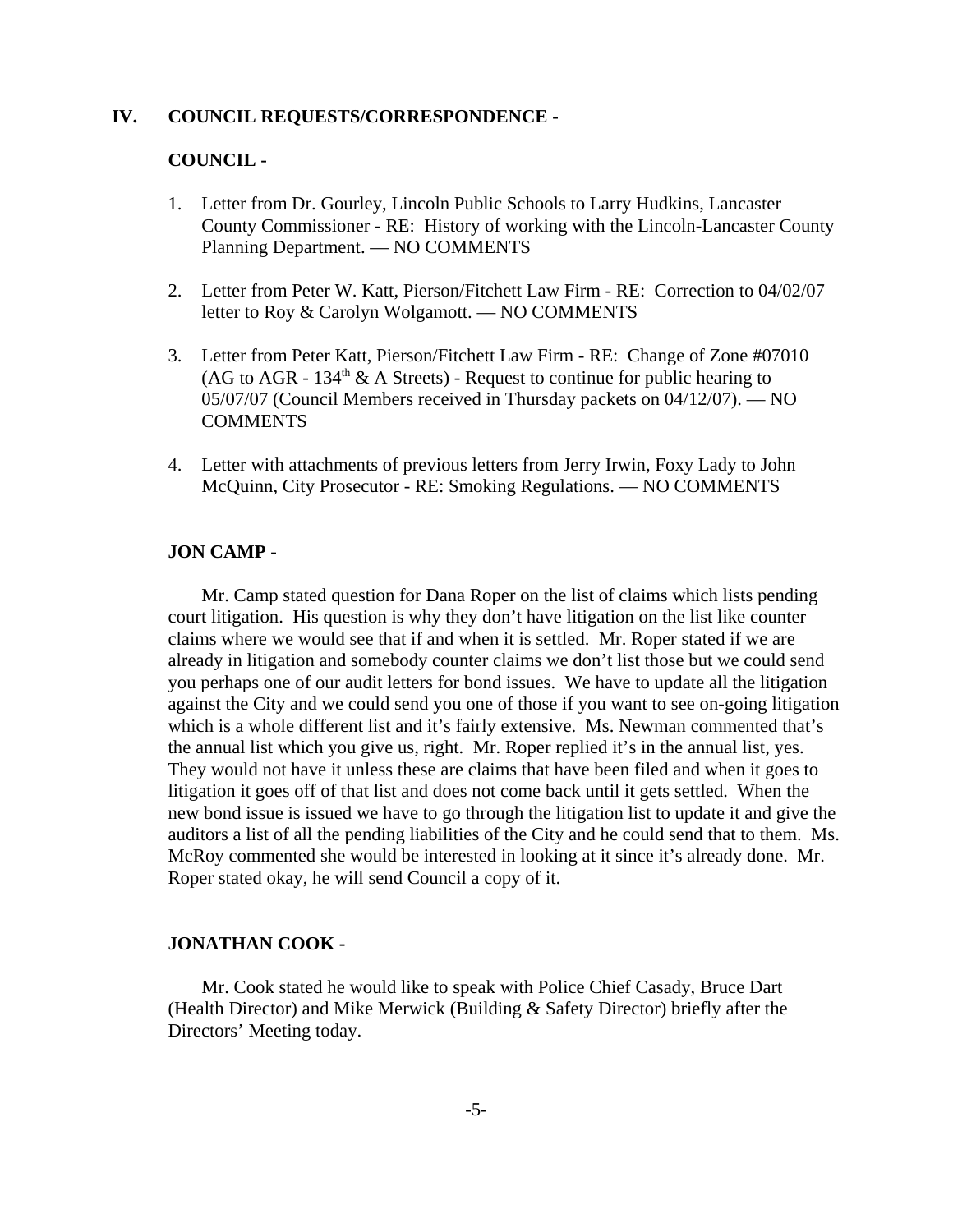#### **IV. COUNCIL REQUESTS/CORRESPONDENCE** -

#### **COUNCIL -**

- 1. Letter from Dr. Gourley, Lincoln Public Schools to Larry Hudkins, Lancaster County Commissioner - RE: History of working with the Lincoln-Lancaster County Planning Department. — NO COMMENTS
- 2. Letter from Peter W. Katt, Pierson/Fitchett Law Firm RE: Correction to 04/02/07 letter to Roy & Carolyn Wolgamott. — NO COMMENTS
- 3. Letter from Peter Katt, Pierson/Fitchett Law Firm RE: Change of Zone #07010 (AG to AGR -  $134<sup>th</sup>$  & A Streets) - Request to continue for public hearing to 05/07/07 (Council Members received in Thursday packets on 04/12/07). — NO **COMMENTS**
- 4. Letter with attachments of previous letters from Jerry Irwin, Foxy Lady to John McQuinn, City Prosecutor - RE: Smoking Regulations. — NO COMMENTS

#### **JON CAMP -**

Mr. Camp stated question for Dana Roper on the list of claims which lists pending court litigation. His question is why they don't have litigation on the list like counter claims where we would see that if and when it is settled. Mr. Roper stated if we are already in litigation and somebody counter claims we don't list those but we could send you perhaps one of our audit letters for bond issues. We have to update all the litigation against the City and we could send you one of those if you want to see on-going litigation which is a whole different list and it's fairly extensive. Ms. Newman commented that's the annual list which you give us, right. Mr. Roper replied it's in the annual list, yes. They would not have it unless these are claims that have been filed and when it goes to litigation it goes off of that list and does not come back until it gets settled. When the new bond issue is issued we have to go through the litigation list to update it and give the auditors a list of all the pending liabilities of the City and he could send that to them. Ms. McRoy commented she would be interested in looking at it since it's already done. Mr. Roper stated okay, he will send Council a copy of it.

#### **JONATHAN COOK -**

Mr. Cook stated he would like to speak with Police Chief Casady, Bruce Dart (Health Director) and Mike Merwick (Building & Safety Director) briefly after the Directors' Meeting today.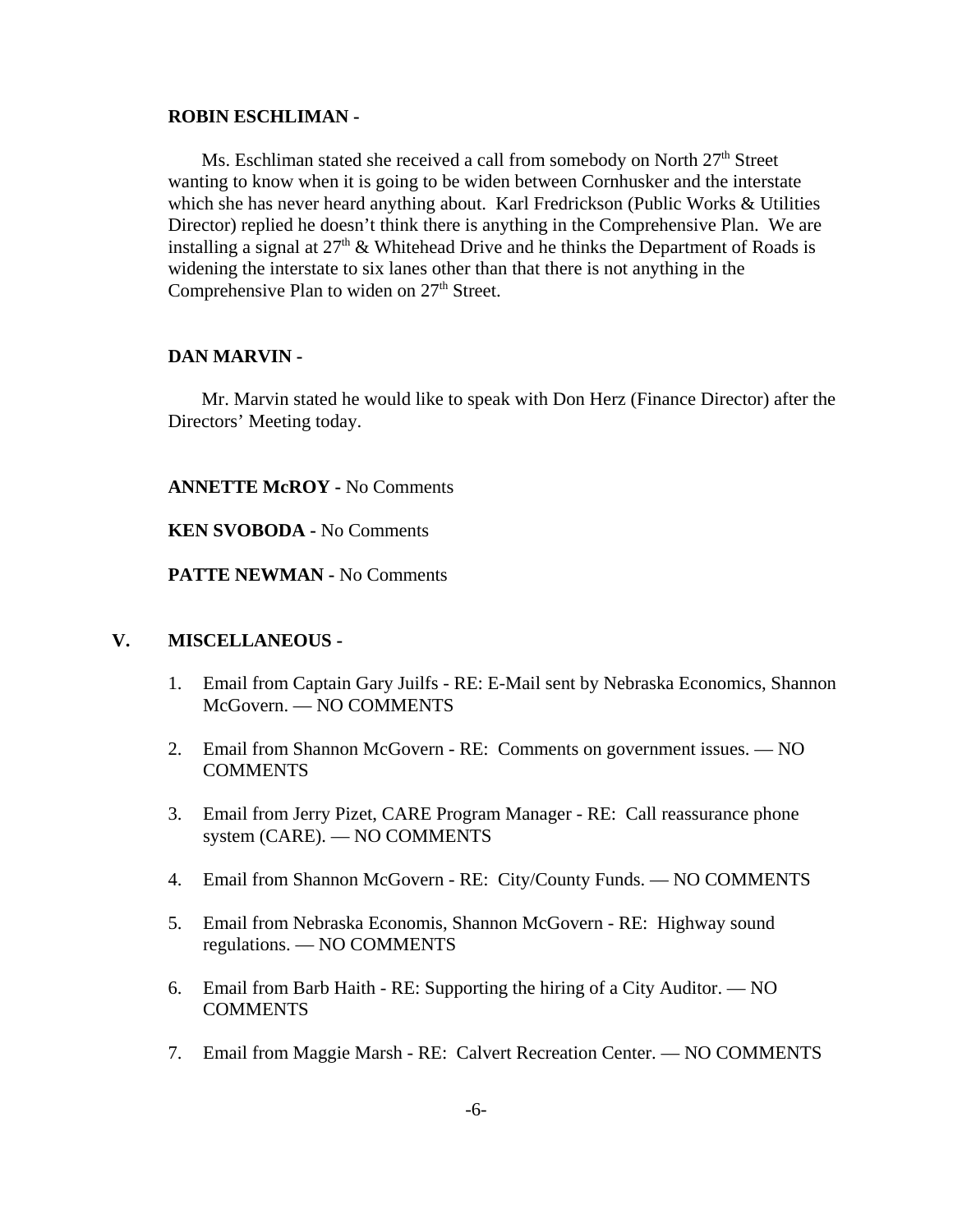#### **ROBIN ESCHLIMAN -**

Ms. Eschliman stated she received a call from somebody on North  $27<sup>th</sup>$  Street wanting to know when it is going to be widen between Cornhusker and the interstate which she has never heard anything about. Karl Fredrickson (Public Works & Utilities Director) replied he doesn't think there is anything in the Comprehensive Plan. We are installing a signal at  $27<sup>th</sup>$  & Whitehead Drive and he thinks the Department of Roads is widening the interstate to six lanes other than that there is not anything in the Comprehensive Plan to widen on 27<sup>th</sup> Street.

#### **DAN MARVIN -**

Mr. Marvin stated he would like to speak with Don Herz (Finance Director) after the Directors' Meeting today.

**ANNETTE McROY -** No Comments

**KEN SVOBODA -** No Comments

**PATTE NEWMAN -** No Comments

### **V. MISCELLANEOUS -**

- 1. Email from Captain Gary Juilfs RE: E-Mail sent by Nebraska Economics, Shannon McGovern. — NO COMMENTS
- 2. Email from Shannon McGovern RE: Comments on government issues. NO **COMMENTS**
- 3. Email from Jerry Pizet, CARE Program Manager RE: Call reassurance phone system (CARE). — NO COMMENTS
- 4. Email from Shannon McGovern RE: City/County Funds. NO COMMENTS
- 5. Email from Nebraska Economis, Shannon McGovern RE: Highway sound regulations. — NO COMMENTS
- 6. Email from Barb Haith RE: Supporting the hiring of a City Auditor. NO **COMMENTS**
- 7. Email from Maggie Marsh RE: Calvert Recreation Center. NO COMMENTS